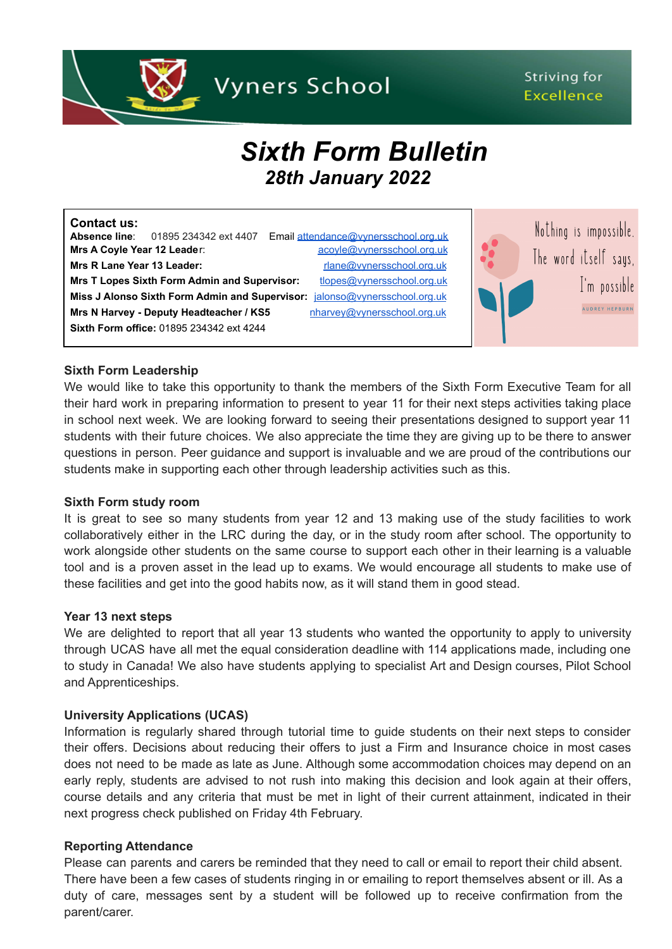

# Striving for **Excellence**

# *Sixth Form Bulletin 28th January 2022*

| <b>Contact us:</b><br>Email attendance@vvnersschool.org.uk<br>01895 234342 ext 4407<br><b>Absence line:</b><br>acoyle@vynersschool.org.uk<br>Mrs A Coyle Year 12 Leader: | Nothing is impossible. |
|--------------------------------------------------------------------------------------------------------------------------------------------------------------------------|------------------------|
| Mrs R Lane Year 13 Leader:<br>rlane@vynersschool.org.uk                                                                                                                  | The word itself says,  |
| Mrs T Lopes Sixth Form Admin and Supervisor:<br>tlopes@vynersschool.org.uk                                                                                               | I'm possible           |
| Miss J Alonso Sixth Form Admin and Supervisor:<br>jalonso@vynersschool.org.uk                                                                                            |                        |
| nharvey@vynersschool.org.uk<br>Mrs N Harvey - Deputy Headteacher / KS5                                                                                                   | <b>AUDREY HEPBURN</b>  |
| Sixth Form office: 01895 234342 ext 4244                                                                                                                                 |                        |
|                                                                                                                                                                          |                        |

#### **Sixth Form Leadership**

We would like to take this opportunity to thank the members of the Sixth Form Executive Team for all their hard work in preparing information to present to year 11 for their next steps activities taking place in school next week. We are looking forward to seeing their presentations designed to support year 11 students with their future choices. We also appreciate the time they are giving up to be there to answer questions in person. Peer guidance and support is invaluable and we are proud of the contributions our students make in supporting each other through leadership activities such as this.

#### **Sixth Form study room**

It is great to see so many students from year 12 and 13 making use of the study facilities to work collaboratively either in the LRC during the day, or in the study room after school. The opportunity to work alongside other students on the same course to support each other in their learning is a valuable tool and is a proven asset in the lead up to exams. We would encourage all students to make use of these facilities and get into the good habits now, as it will stand them in good stead.

#### **Year 13 next steps**

We are delighted to report that all year 13 students who wanted the opportunity to apply to university through UCAS have all met the equal consideration deadline with 114 applications made, including one to study in Canada! We also have students applying to specialist Art and Design courses, Pilot School and Apprenticeships.

#### **University Applications (UCAS)**

Information is regularly shared through tutorial time to guide students on their next steps to consider their offers. Decisions about reducing their offers to just a Firm and Insurance choice in most cases does not need to be made as late as June. Although some accommodation choices may depend on an early reply, students are advised to not rush into making this decision and look again at their offers, course details and any criteria that must be met in light of their current attainment, indicated in their next progress check published on Friday 4th February.

#### **Reporting Attendance**

Please can parents and carers be reminded that they need to call or email to report their child absent. There have been a few cases of students ringing in or emailing to report themselves absent or ill. As a duty of care, messages sent by a student will be followed up to receive confirmation from the parent/carer.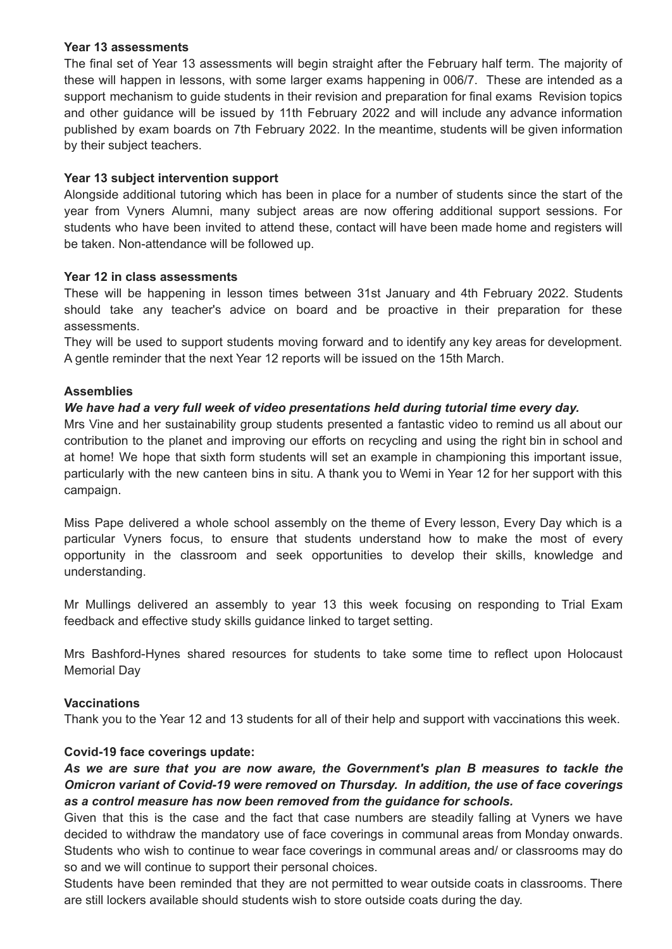### **Year 13 assessments**

The final set of Year 13 assessments will begin straight after the February half term. The majority of these will happen in lessons, with some larger exams happening in 006/7. These are intended as a support mechanism to guide students in their revision and preparation for final exams Revision topics and other guidance will be issued by 11th February 2022 and will include any advance information published by exam boards on 7th February 2022. In the meantime, students will be given information by their subject teachers.

# **Year 13 subject intervention support**

Alongside additional tutoring which has been in place for a number of students since the start of the year from Vyners Alumni, many subject areas are now offering additional support sessions. For students who have been invited to attend these, contact will have been made home and registers will be taken. Non-attendance will be followed up.

# **Year 12 in class assessments**

These will be happening in lesson times between 31st January and 4th February 2022. Students should take any teacher's advice on board and be proactive in their preparation for these assessments.

They will be used to support students moving forward and to identify any key areas for development. A gentle reminder that the next Year 12 reports will be issued on the 15th March.

# **Assemblies**

# *We have had a very full week of video presentations held during tutorial time every day.*

Mrs Vine and her sustainability group students presented a fantastic video to remind us all about our contribution to the planet and improving our efforts on recycling and using the right bin in school and at home! We hope that sixth form students will set an example in championing this important issue, particularly with the new canteen bins in situ. A thank you to Wemi in Year 12 for her support with this campaign.

Miss Pape delivered a whole school assembly on the theme of Every lesson, Every Day which is a particular Vyners focus, to ensure that students understand how to make the most of every opportunity in the classroom and seek opportunities to develop their skills, knowledge and understanding.

Mr Mullings delivered an assembly to year 13 this week focusing on responding to Trial Exam feedback and effective study skills guidance linked to target setting.

Mrs Bashford-Hynes shared resources for students to take some time to reflect upon Holocaust Memorial Day

#### **Vaccinations**

Thank you to the Year 12 and 13 students for all of their help and support with vaccinations this week.

#### **Covid-19 face coverings update:**

# *As we are sure that you are now aware, the Government's plan B measures to tackle the Omicron variant of Covid-19 were removed on Thursday. In addition, the use of face coverings as a control measure has now been removed from the guidance for schools.*

Given that this is the case and the fact that case numbers are steadily falling at Vyners we have decided to withdraw the mandatory use of face coverings in communal areas from Monday onwards. Students who wish to continue to wear face coverings in communal areas and/ or classrooms may do so and we will continue to support their personal choices.

Students have been reminded that they are not permitted to wear outside coats in classrooms. There are still lockers available should students wish to store outside coats during the day.